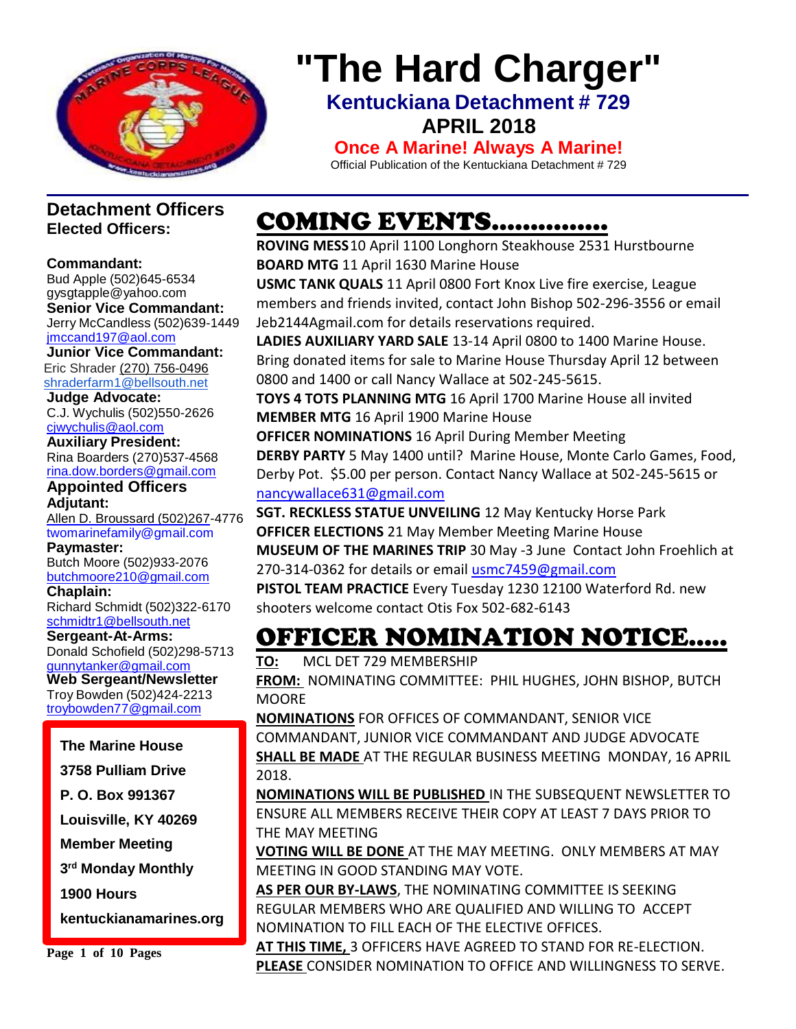

# **"The Hard Charger"**

**Kentuckiana Detachment # 729 APRIL 2018**

**Once A Marine! Always A Marine!**

Official Publication of the Kentuckiana Detachment # 729

### **Detachment Officers Elected Officers:**

#### **Commandant:**

Bud Apple (502)645-653[4](mailto:gysgtapple@yahoo.com) [gysgtapple@yahoo.com](mailto:gysgtapple@yahoo.com) **Senior Vice Commandant:** Jerry McCandless (502)639-1449 [jmccand197@aol.com](mailto:jmccand197@aol.com)

**Junior Vice Commandant:** Eric Shrader [\(270\) 756-0496](tel:(270)%20756-0496) [shraderfarm1@bellsouth.net](mailto:shraderfarm1@bellsouth.net)

**Judge Advocate:** C.J. Wychulis (502)550-2626 [cjwychulis@aol.com](mailto:cjwychulis@aol.com)

**Auxiliary President:** Rina Boarders (270)537-4568 [rina.dow.borders@gmail.com](mailto:rina.dow.borders@gmail.com)

#### **Appointed Officers Adjutant:**

Allen D. Broussard (502)267-4776 [twomarinefamily@gmail.com](file:///C:/Downloads/broussard.marines@insightbb.com)

**Paymaster:** Butch Moore (502)933-2076 [butchmoore210@gmail.com](mailto:butchmoore210@gmail.com)

**Chaplain:**

Richard Schmidt (502)322-6170 [schmidtr1@bellsouth.net](mailto:Alusmc75@gmail.com)

**Sergeant-At-Arms:** Donald Schofield (502)298-5713 [gunnytanker@gmail.com](mailto:gunnytanker@gmail.com)

**Web Sergeant/Newsletter** Troy Bowden (502)424-2213 [troybowden77@gmail.com](mailto:troybowden77@gmail.com)

### **The Marine House**

**3758 Pulliam Drive**

**P. O. Box 991367**

**Louisville, KY 40269**

**Member Meeting**

**3 rd Monday Monthly**

**1900 Hours** 

**kentuckianamarines.org**

**Page 1 of 10 Pages**

# COMING EVENTS……………

**ROVING MESS**10 April 1100 Longhorn Steakhouse 2531 Hurstbourne **BOARD MTG** 11 April 1630 Marine House

**USMC TANK QUALS** 11 April 0800 Fort Knox Live fire exercise, League members and friends invited, contact John Bishop 502-296-3556 or email Jeb2144Agmail.com for details reservations required.

**LADIES AUXILIARY YARD SALE** 13-14 April 0800 to 1400 Marine House. Bring donated items for sale to Marine House Thursday April 12 between 0800 and 1400 or call Nancy Wallace at 502-245-5615.

**TOYS 4 TOTS PLANNING MTG** 16 April 1700 Marine House all invited **MEMBER MTG** 16 April 1900 Marine House

**OFFICER NOMINATIONS** 16 April During Member Meeting **DERBY PARTY** 5 May 1400 until? Marine House, Monte Carlo Games, Food, Derby Pot. \$5.00 per person. Contact Nancy Wallace at 502-245-5615 or [nancywallace631@gmail.com](mailto:nancywallace631@gmail.com)

**SGT. RECKLESS STATUE UNVEILING** 12 May Kentucky Horse Park **OFFICER ELECTIONS** 21 May Member Meeting Marine House **MUSEUM OF THE MARINES TRIP** 30 May -3 June Contact John Froehlich at 270-314-0362 for details or email [usmc7459@gmail.com](mailto:usmc7459@gmail.com)

**PISTOL TEAM PRACTICE** Every Tuesday 1230 12100 Waterford Rd. new shooters welcome contact Otis Fox 502-682-6143

# OFFICER NOMINATION NOTICE…..

**TO:** MCL DET 729 MEMBERSHIP

**FROM:** NOMINATING COMMITTEE: PHIL HUGHES, JOHN BISHOP, BUTCH **MOORE** 

**NOMINATIONS** FOR OFFICES OF COMMANDANT, SENIOR VICE

COMMANDANT, JUNIOR VICE COMMANDANT AND JUDGE ADVOCATE **SHALL BE MADE** AT THE REGULAR BUSINESS MEETING MONDAY, 16 APRIL 2018.

**NOMINATIONS WILL BE PUBLISHED** IN THE SUBSEQUENT NEWSLETTER TO ENSURE ALL MEMBERS RECEIVE THEIR COPY AT LEAST 7 DAYS PRIOR TO THE MAY MEETING

**VOTING WILL BE DONE** AT THE MAY MEETING. ONLY MEMBERS AT MAY MEETING IN GOOD STANDING MAY VOTE.

**AS PER OUR BY-LAWS**, THE NOMINATING COMMITTEE IS SEEKING REGULAR MEMBERS WHO ARE QUALIFIED AND WILLING TO ACCEPT NOMINATION TO FILL EACH OF THE ELECTIVE OFFICES.

**AT THIS TIME,** 3 OFFICERS HAVE AGREED TO STAND FOR RE-ELECTION. **PLEASE** CONSIDER NOMINATION TO OFFICE AND WILLINGNESS TO SERVE.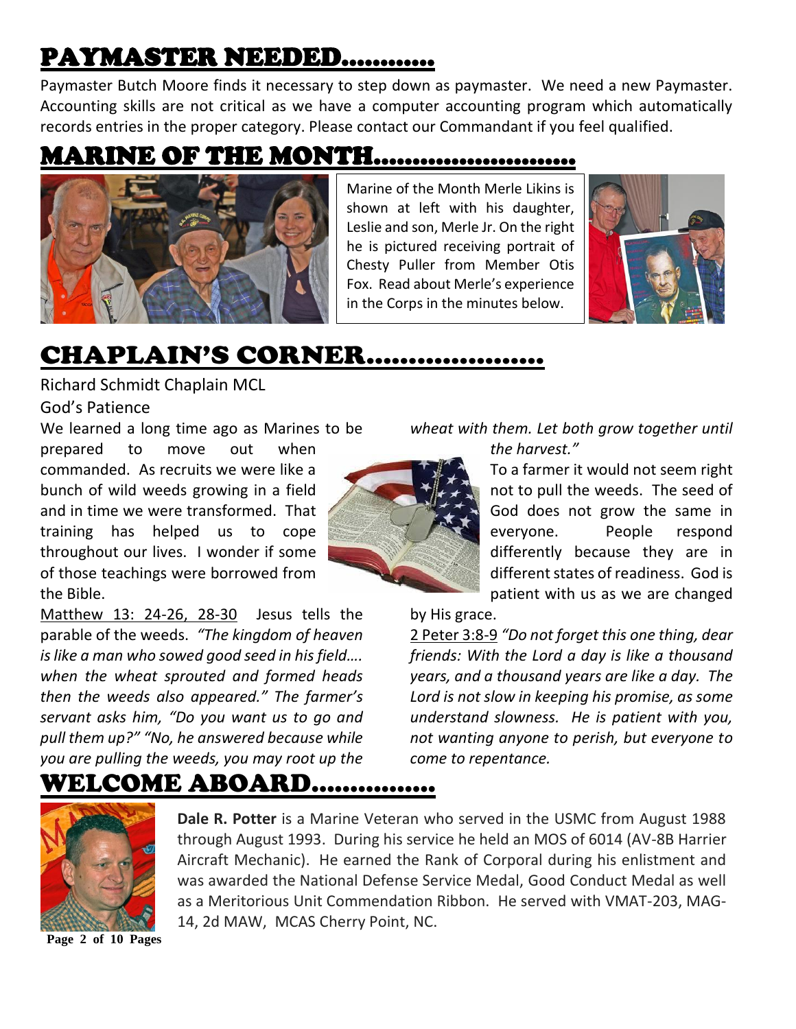# PAYMASTER NEEDED…………

Paymaster Butch Moore finds it necessary to step down as paymaster. We need a new Paymaster. Accounting skills are not critical as we have a computer accounting program which automatically records entries in the proper category. Please contact our Commandant if you feel qualified.

### MARINE OF THE MONTH……………………..



Marine of the Month Merle Likins is shown at left with his daughter, Leslie and son, Merle Jr. On the right he is pictured receiving portrait of Chesty Puller from Member Otis Fox. Read about Merle's experience in the Corps in the minutes below.



### CHAPLAIN'S CORNER…………………

Richard Schmidt Chaplain MCL

God's Patience

We learned a long time ago as Marines to be

prepared to move out when commanded. As recruits we were like a bunch of wild weeds growing in a field and in time we were transformed. That training has helped us to cope throughout our lives. I wonder if some of those teachings were borrowed from the Bible.

Matthew 13: 24-26, 28-30 Jesus tells the parable of the weeds. *"The kingdom of heaven is like a man who sowed good seed in his field…. when the wheat sprouted and formed heads then the weeds also appeared." The farmer's servant asks him, "Do you want us to go and pull them up?" "No, he answered because while you are pulling the weeds, you may root up the* 



*wheat with them. Let both grow together until* 

*the harvest."* 

To a farmer it would not seem right not to pull the weeds. The seed of God does not grow the same in everyone. People respond differently because they are in different states of readiness. God is patient with us as we are changed

#### by His grace.

2 Peter 3:8-9 *"Do not forget this one thing, dear friends: With the Lord a day is like a thousand years, and a thousand years are like a day. The Lord is not slow in keeping his promise, as some understand slowness. He is patient with you, not wanting anyone to perish, but everyone to come to repentance.*

### WELCOME ABOARD…………….



**Dale R. Potter** is a Marine Veteran who served in the USMC from August 1988 through August 1993. During his service he held an MOS of 6014 (AV-8B Harrier Aircraft Mechanic). He earned the Rank of Corporal during his enlistment and was awarded the National Defense Service Medal, Good Conduct Medal as well as a Meritorious Unit Commendation Ribbon. He served with VMAT-203, MAG-14, 2d MAW, MCAS Cherry Point, NC.

**Page 2 of 10 Pages**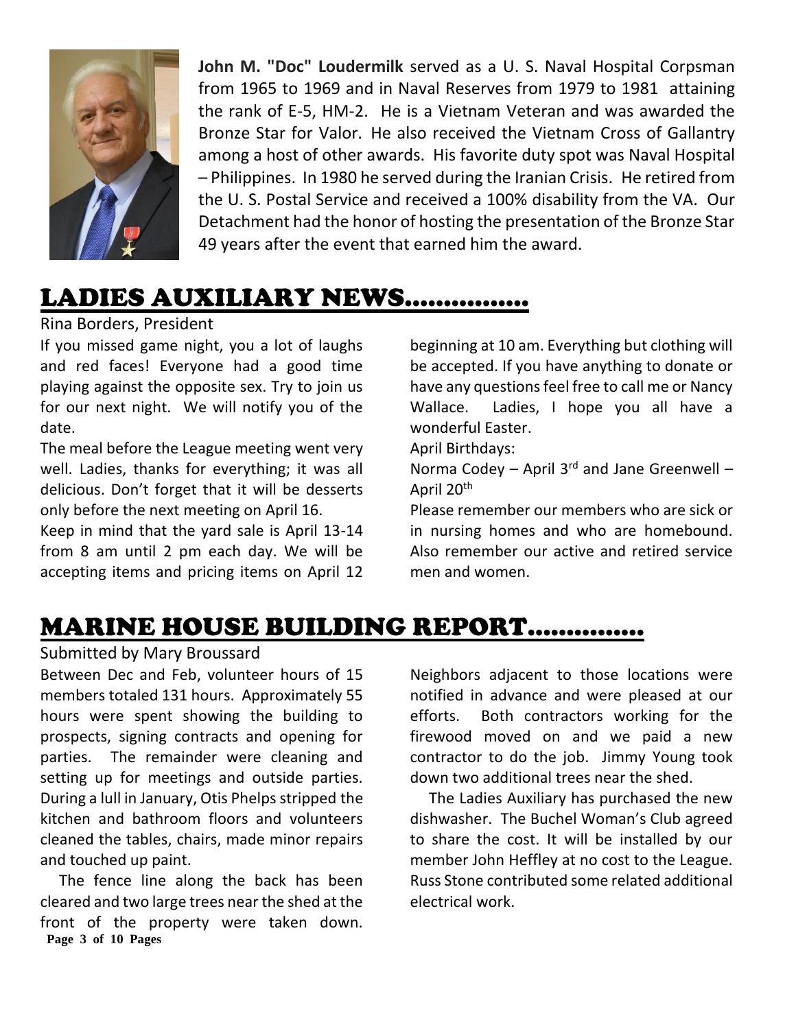

**John M. "Doc" Loudermilk** served as a U. S. Naval Hospital Corpsman from 1965 to 1969 and in Naval Reserves from 1979 to 1981 attaining the rank of E-5, HM-2. He is a Vietnam Veteran and was awarded the Bronze Star for Valor. He also received the Vietnam Cross of Gallantry among a host of other awards. His favorite duty spot was Naval Hospital – Philippines. In 1980 he served during the Iranian Crisis. He retired from the U. S. Postal Service and received a 100% disability from the VA. Our Detachment had the honor of hosting the presentation of the Bronze Star 49 years after the event that earned him the award.

# LADIES AUXILIARY NEWS…………….

Rina Borders, President

If you missed game night, you a lot of laughs and red faces! Everyone had a good time playing against the opposite sex. Try to join us for our next night. We will notify you of the date.

The meal before the League meeting went very well. Ladies, thanks for everything; it was all delicious. Don't forget that it will be desserts only before the next meeting on April 16.

Keep in mind that the yard sale is April 13-14 from 8 am until 2 pm each day. We will be accepting items and pricing items on April 12 beginning at 10 am. Everything but clothing will be accepted. If you have anything to donate or have any questions feel free to call me or Nancy Wallace. Ladies, I hope you all have a wonderful Easter.

April Birthdays:

Norma Codey  $-$  April 3<sup>rd</sup> and Jane Greenwell  $-$ April 20th

Please remember our members who are sick or in nursing homes and who are homebound. Also remember our active and retired service men and women.

### MARINE HOUSE BUILDING REPORT……………

#### Submitted by Mary Broussard

Between Dec and Feb, volunteer hours of 15 members totaled 131 hours. Approximately 55 hours were spent showing the building to prospects, signing contracts and opening for parties. The remainder were cleaning and setting up for meetings and outside parties. During a lull in January, Otis Phelps stripped the kitchen and bathroom floors and volunteers cleaned the tables, chairs, made minor repairs and touched up paint.

**Page 3 of 10 Pages** The fence line along the back has been cleared and two large trees near the shed at the front of the property were taken down.

Neighbors adjacent to those locations were notified in advance and were pleased at our efforts. Both contractors working for the firewood moved on and we paid a new contractor to do the job. Jimmy Young took down two additional trees near the shed.

 The Ladies Auxiliary has purchased the new dishwasher. The Buchel Woman's Club agreed to share the cost. It will be installed by our member John Heffley at no cost to the League. Russ Stone contributed some related additional electrical work.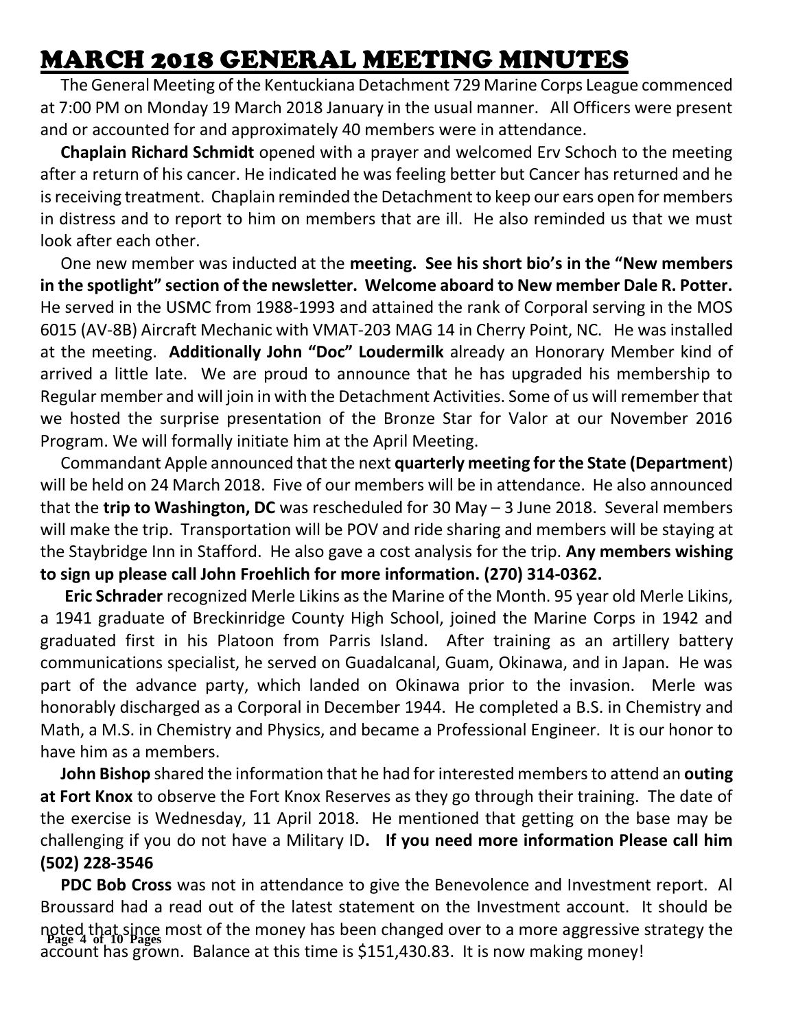### MARCH 2018 GENERAL MEETING MINUTES

 The General Meeting of the Kentuckiana Detachment 729 Marine Corps League commenced at 7:00 PM on Monday 19 March 2018 January in the usual manner. All Officers were present and or accounted for and approximately 40 members were in attendance.

 **Chaplain Richard Schmidt** opened with a prayer and welcomed Erv Schoch to the meeting after a return of his cancer. He indicated he was feeling better but Cancer has returned and he is receiving treatment. Chaplain reminded the Detachment to keep our ears open for members in distress and to report to him on members that are ill. He also reminded us that we must look after each other.

 One new member was inducted at the **meeting. See his short bio's in the "New members in the spotlight" section of the newsletter. Welcome aboard to New member Dale R. Potter.**  He served in the USMC from 1988-1993 and attained the rank of Corporal serving in the MOS 6015 (AV-8B) Aircraft Mechanic with VMAT-203 MAG 14 in Cherry Point, NC. He was installed at the meeting. **Additionally John "Doc" Loudermilk** already an Honorary Member kind of arrived a little late. We are proud to announce that he has upgraded his membership to Regular member and will join in with the Detachment Activities. Some of us will remember that we hosted the surprise presentation of the Bronze Star for Valor at our November 2016 Program. We will formally initiate him at the April Meeting.

 Commandant Apple announced that the next **quarterly meeting for the State (Department**) will be held on 24 March 2018. Five of our members will be in attendance. He also announced that the **trip to Washington, DC** was rescheduled for 30 May – 3 June 2018. Several members will make the trip. Transportation will be POV and ride sharing and members will be staying at the Staybridge Inn in Stafford. He also gave a cost analysis for the trip. **Any members wishing to sign up please call John Froehlich for more information. (270) 314-0362.**

 **Eric Schrader** recognized Merle Likins as the Marine of the Month. 95 year old Merle Likins, a 1941 graduate of Breckinridge County High School, joined the Marine Corps in 1942 and graduated first in his Platoon from Parris Island. After training as an artillery battery communications specialist, he served on Guadalcanal, Guam, Okinawa, and in Japan. He was part of the advance party, which landed on Okinawa prior to the invasion. Merle was honorably discharged as a Corporal in December 1944. He completed a B.S. in Chemistry and Math, a M.S. in Chemistry and Physics, and became a Professional Engineer. It is our honor to have him as a members.

 **John Bishop** shared the information that he had for interested members to attend an **outing at Fort Knox** to observe the Fort Knox Reserves as they go through their training. The date of the exercise is Wednesday, 11 April 2018. He mentioned that getting on the base may be challenging if you do not have a Military ID**. If you need more information Please call him (502) 228-3546**

**Page 4 of 10 Pages** noted that since most of the money has been changed over to a more aggressive strategy the  **PDC Bob Cross** was not in attendance to give the Benevolence and Investment report. Al Broussard had a read out of the latest statement on the Investment account. It should be account has grown. Balance at this time is \$151,430.83. It is now making money!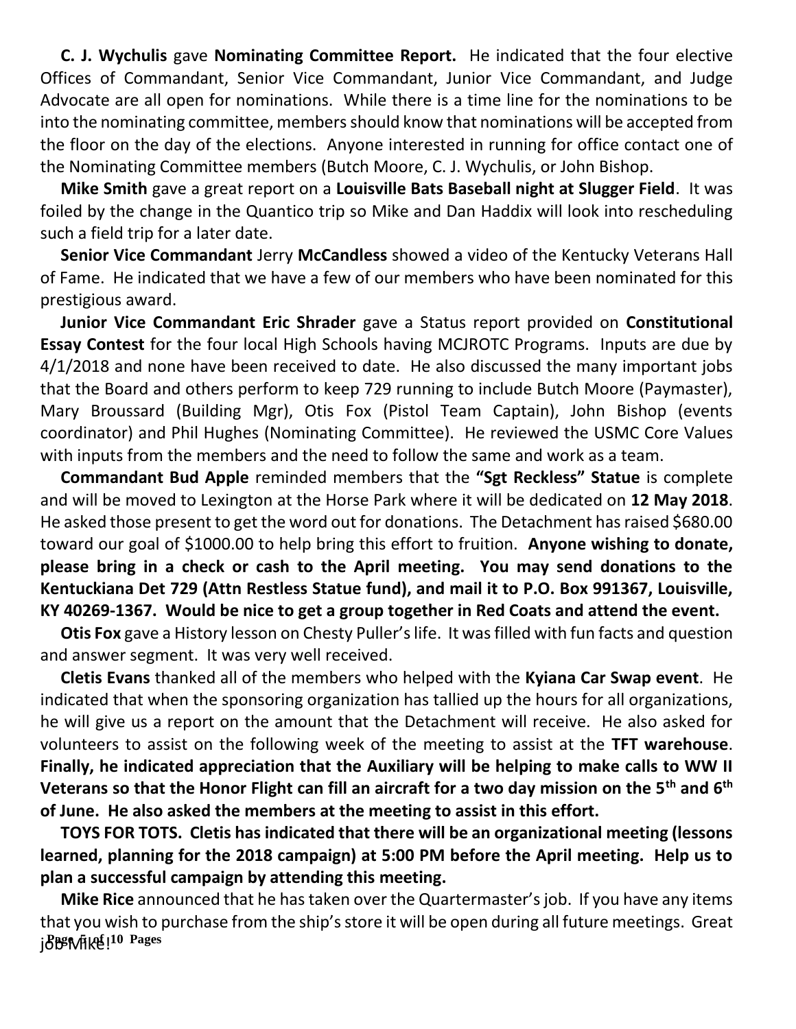**C. J. Wychulis** gave **Nominating Committee Report.** He indicated that the four elective Offices of Commandant, Senior Vice Commandant, Junior Vice Commandant, and Judge Advocate are all open for nominations. While there is a time line for the nominations to be into the nominating committee, members should know that nominations will be accepted from the floor on the day of the elections. Anyone interested in running for office contact one of the Nominating Committee members (Butch Moore, C. J. Wychulis, or John Bishop.

 **Mike Smith** gave a great report on a **Louisville Bats Baseball night at Slugger Field**. It was foiled by the change in the Quantico trip so Mike and Dan Haddix will look into rescheduling such a field trip for a later date.

 **Senior Vice Commandant** Jerry **McCandless** showed a video of the Kentucky Veterans Hall of Fame. He indicated that we have a few of our members who have been nominated for this prestigious award.

 **Junior Vice Commandant Eric Shrader** gave a Status report provided on **Constitutional Essay Contest** for the four local High Schools having MCJROTC Programs. Inputs are due by 4/1/2018 and none have been received to date. He also discussed the many important jobs that the Board and others perform to keep 729 running to include Butch Moore (Paymaster), Mary Broussard (Building Mgr), Otis Fox (Pistol Team Captain), John Bishop (events coordinator) and Phil Hughes (Nominating Committee). He reviewed the USMC Core Values with inputs from the members and the need to follow the same and work as a team.

 **Commandant Bud Apple** reminded members that the **"Sgt Reckless" Statue** is complete and will be moved to Lexington at the Horse Park where it will be dedicated on **12 May 2018**. He asked those present to get the word out for donations. The Detachment has raised \$680.00 toward our goal of \$1000.00 to help bring this effort to fruition. **Anyone wishing to donate, please bring in a check or cash to the April meeting. You may send donations to the Kentuckiana Det 729 (Attn Restless Statue fund), and mail it to P.O. Box 991367, Louisville, KY 40269-1367. Would be nice to get a group together in Red Coats and attend the event.**

 **Otis Fox** gave a History lesson on Chesty Puller's life. It was filled with fun facts and question and answer segment. It was very well received.

 **Cletis Evans** thanked all of the members who helped with the **Kyiana Car Swap event**. He indicated that when the sponsoring organization has tallied up the hours for all organizations, he will give us a report on the amount that the Detachment will receive. He also asked for volunteers to assist on the following week of the meeting to assist at the **TFT warehouse**. **Finally, he indicated appreciation that the Auxiliary will be helping to make calls to WW II Veterans so that the Honor Flight can fill an aircraft for a two day mission on the 5th and 6th of June. He also asked the members at the meeting to assist in this effort.**

 **TOYS FOR TOTS. Cletis has indicated that there will be an organizational meeting (lessons learned, planning for the 2018 campaign) at 5:00 PM before the April meeting. Help us to plan a successful campaign by attending this meeting.**

**Page 5 of 10 Pages** job Mike! **Mike Rice** announced that he has taken over the Quartermaster's job. If you have any items that you wish to purchase from the ship's store it will be open during all future meetings. Great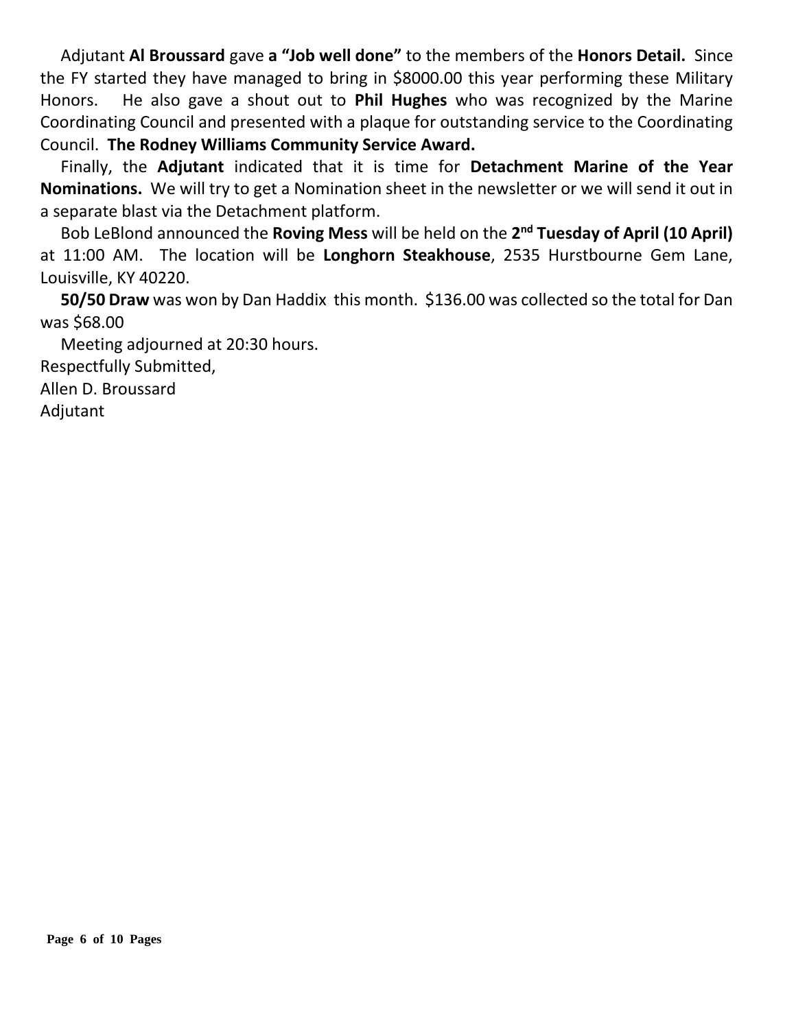Adjutant **Al Broussard** gave **a "Job well done"** to the members of the **Honors Detail.** Since the FY started they have managed to bring in \$8000.00 this year performing these Military Honors. He also gave a shout out to **Phil Hughes** who was recognized by the Marine Coordinating Council and presented with a plaque for outstanding service to the Coordinating Council. **The Rodney Williams Community Service Award.**

 Finally, the **Adjutant** indicated that it is time for **Detachment Marine of the Year Nominations.** We will try to get a Nomination sheet in the newsletter or we will send it out in a separate blast via the Detachment platform.

 Bob LeBlond announced the **Roving Mess** will be held on the **2 nd Tuesday of April (10 April)** at 11:00 AM. The location will be **Longhorn Steakhouse**, 2535 Hurstbourne Gem Lane, Louisville, KY 40220.

 **50/50 Draw** was won by Dan Haddix this month. \$136.00 was collected so the total for Dan was \$68.00

 Meeting adjourned at 20:30 hours. Respectfully Submitted, Allen D. Broussard Adjutant